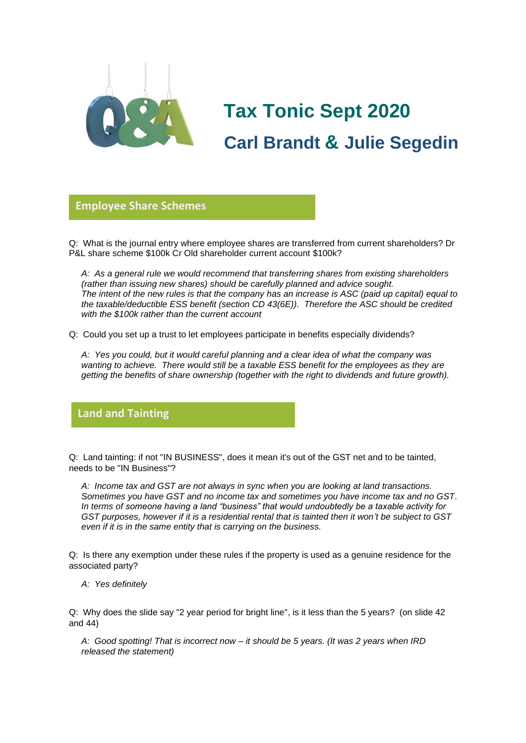

# **Tax Tonic Sept 2020 Carl Brandt & Julie Segedin**

#### **Employee Share Schemes**

Q: What is the journal entry where employee shares are transferred from current shareholders? Dr **glorio**P&L share scheme \$100k Cr Old shareholder current account \$100k?

*A: As a general rule we would recommend that transferring shares from existing shareholders (rather than issuing new shares) should be carefully planned and advice sought. The intent of the new rules is that the company has an increase is ASC (paid up capital) equal to the taxable/deductible ESS benefit (section CD 43(6E)). Therefore the ASC should be credited with the \$100k rather than the current account*

Q: Could you set up a trust to let employees participate in benefits especially dividends?

*A: Yes you could, but it would careful planning and a clear idea of what the company was wanting to achieve. There would still be a taxable ESS benefit for the employees as they are getting the benefits of share ownership (together with the right to dividends and future growth).*

### **Land and Tainting**

Q: Land tainting: if not "IN BUSINESS", does it mean it's out of the GST net and to be tainted, needs to be "IN Business"?

*A: Income tax and GST are not always in sync when you are looking at land transactions. Sometimes you have GST and no income tax and sometimes you have income tax and no GST. In terms of someone having a land "business" that would undoubtedly be a taxable activity for GST purposes, however if it is a residential rental that is tainted then it won't be subject to GST even if it is in the same entity that is carrying on the business.*

Q: Is there any exemption under these rules if the property is used as a genuine residence for the associated party?

*A: Yes definitely*

Q: Why does the slide say "2 year period for bright line", is it less than the 5 years? (on slide 42 and 44)

*A: Good spotting! That is incorrect now – it should be 5 years. (It was 2 years when IRD released the statement)*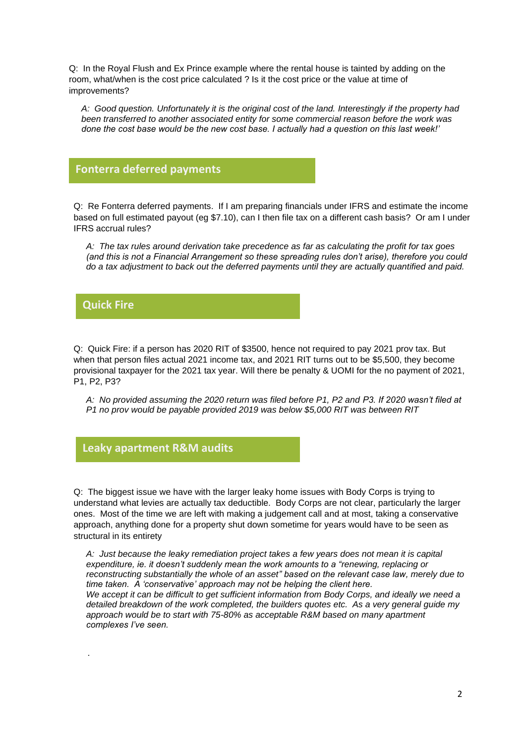Q: In the Royal Flush and Ex Prince example where the rental house is tainted by adding on the room, what/when is the cost price calculated ? Is it the cost price or the value at time of improvements?

*A: Good question. Unfortunately it is the original cost of the land. Interestingly if the property had been transferred to another associated entity for some commercial reason before the work was done the cost base would be the new cost base. I actually had a question on this last week!'*

### **Fonterra deferred payments**

Q: Re Fonterra deferred payments. If I am preparing financials under IFRS and estimate the income **glorio** based on full estimated payout (eg \$7.10), can I then file tax on a different cash basis? Or am I under IFRS accrual rules?

*A: The tax rules around derivation take precedence as far as calculating the profit for tax goes (and this is not a Financial Arrangement so these spreading rules don't arise), therefore you could do a tax adjustment to back out the deferred payments until they are actually quantified and paid.*

**Quick Fire**

*.* 

Q: Quick Fire: if a person has 2020 RIT of \$3500, hence not required to pay 2021 prov tax. But **Glorio** when that person files actual 2021 income tax, and 2021 RIT turns out to be \$5,500, they become provisional taxpayer for the 2021 tax year. Will there be penalty & UOMI for the no payment of 2021, P1, P2, P3?

*A: No provided assuming the 2020 return was filed before P1, P2 and P3. If 2020 wasn't filed at P1 no prov would be payable provided 2019 was below \$5,000 RIT was between RIT*

## **Leaky apartment R&M audits**

Q: The biggest issue we have with the larger leaky home issues with Body Corps is trying to **Glorio**understand what levies are actually tax deductible. Body Corps are not clear, particularly the larger ones. Most of the time we are left with making a judgement call and at most, taking a conservative approach, anything done for a property shut down sometime for years would have to be seen as structural in its entirety

*A: Just because the leaky remediation project takes a few years does not mean it is capital expenditure, ie. it doesn't suddenly mean the work amounts to a "renewing, replacing or reconstructing substantially the whole of an asset" based on the relevant case law, merely due to time taken. A 'conservative' approach may not be helping the client here. We accept it can be difficult to get sufficient information from Body Corps, and ideally we need a detailed breakdown of the work completed, the builders quotes etc. As a very general guide my approach would be to start with 75-80% as acceptable R&M based on many apartment complexes I've seen.*